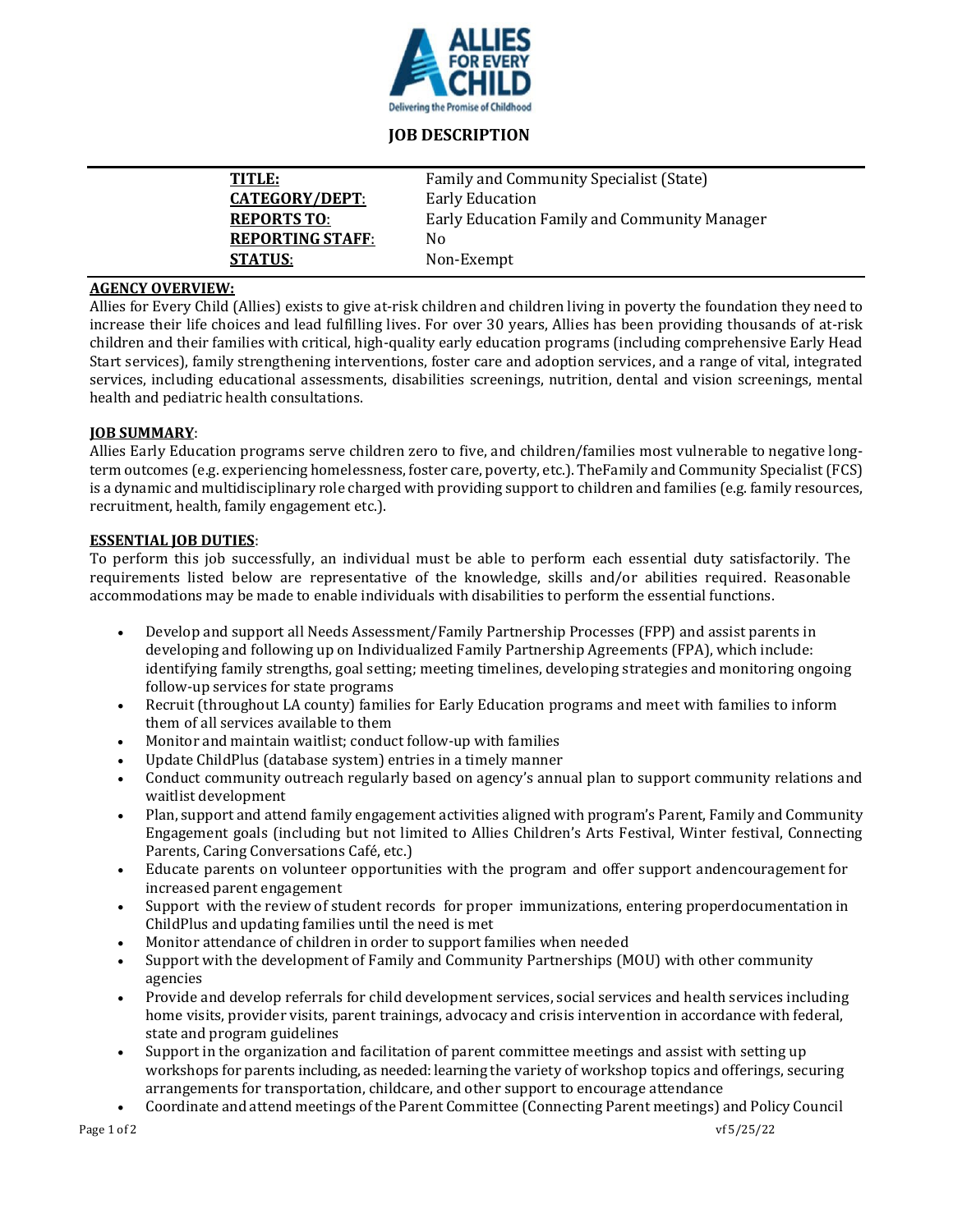

# **JOB DESCRIPTION**

| TITLE:                  | Family and Community Specialist (State)      |
|-------------------------|----------------------------------------------|
| <b>CATEGORY/DEPT:</b>   | Early Education                              |
| <b>REPORTS TO:</b>      | Early Education Family and Community Manager |
| <b>REPORTING STAFF:</b> | No                                           |
| <b>STATUS:</b>          | Non-Exempt                                   |
|                         |                                              |

## **AGENCY OVERVIEW:**

Allies for Every Child (Allies) exists to give at-risk children and children living in poverty the foundation they need to increase their life choices and lead fulfilling lives. For over 30 years, Allies has been providing thousands of at-risk children and their families with critical, high-quality early education programs (including comprehensive Early Head Start services), family strengthening interventions, foster care and adoption services, and a range of vital, integrated services, including educational assessments, disabilities screenings, nutrition, dental and vision screenings, mental health and pediatric health consultations.

## **JOB SUMMARY**:

Allies Early Education programs serve children zero to five, and children/families most vulnerable to negative longterm outcomes (e.g. experiencing homelessness, foster care, poverty, etc.). TheFamily and Community Specialist (FCS) is a dynamic and multidisciplinary role charged with providing support to children and families (e.g. family resources, recruitment, health, family engagement etc.).

# **ESSENTIAL JOB DUTIES**:

To perform this job successfully, an individual must be able to perform each essential duty satisfactorily. The requirements listed below are representative of the knowledge, skills and/or abilities required. Reasonable accommodations may be made to enable individuals with disabilities to perform the essential functions.

- Develop and support all Needs Assessment/Family Partnership Processes (FPP) and assist parents in developing and following up on Individualized Family Partnership Agreements (FPA), which include: identifying family strengths, goal setting; meeting timelines, developing strategies and monitoring ongoing follow-up services for state programs
- Recruit (throughout LA county) families for Early Education programs and meet with families to inform them of all services available to them
- Monitor and maintain waitlist; conduct follow-up with families
- Update ChildPlus (database system) entries in a timely manner
- Conduct community outreach regularly based on agency's annual plan to support community relations and waitlist development
- Plan, support and attend family engagement activities aligned with program's Parent, Family and Community Engagement goals (including but not limited to Allies Children's Arts Festival, Winter festival, Connecting Parents, Caring Conversations Café, etc.)
- Educate parents on volunteer opportunities with the program and offer support andencouragement for increased parent engagement
- Support with the review of student records for proper immunizations, entering properdocumentation in ChildPlus and updating families until the need is met
- Monitor attendance of children in order to support families when needed
- Support with the development of Family and Community Partnerships (MOU) with other community agencies
- Provide and develop referrals for child development services, social services and health services including home visits, provider visits, parent trainings, advocacy and crisis intervention in accordance with federal, state and program guidelines
- Support in the organization and facilitation of parent committee meetings and assist with setting up workshops for parents including, as needed: learning the variety of workshop topics and offerings, securing arrangements for transportation, childcare, and other support to encourage attendance
- Coordinate and attend meetings of the Parent Committee (Connecting Parent meetings) and Policy Council